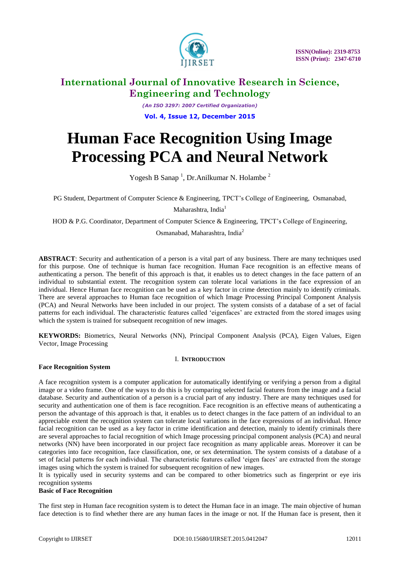

*(An ISO 3297: 2007 Certified Organization)* **Vol. 4, Issue 12, December 2015**

# **Human Face Recognition Using Image Processing PCA and Neural Network**

Yogesh B Sanap<sup>1</sup>, Dr.Anilkumar N. Holambe<sup>2</sup>

PG Student, Department of Computer Science & Engineering, TPCT"s College of Engineering, Osmanabad,

Maharashtra, India<sup>1</sup>

HOD & P.G. Coordinator, Department of Computer Science & Engineering, TPCT"s College of Engineering,

Osmanabad, Maharashtra, India<sup>2</sup>

**ABSTRACT**: Security and authentication of a person is a vital part of any business. There are many techniques used for this purpose. One of technique is human face recognition. Human Face recognition is an effective means of authenticating a person. The benefit of this approach is that, it enables us to detect changes in the face pattern of an individual to substantial extent. The recognition system can tolerate local variations in the face expression of an individual. Hence Human face recognition can be used as a key factor in crime detection mainly to identify criminals. There are several approaches to Human face recognition of which Image Processing Principal Component Analysis (PCA) and Neural Networks have been included in our project. The system consists of a database of a set of facial patterns for each individual. The characteristic features called "eigenfaces" are extracted from the stored images using which the system is trained for subsequent recognition of new images.

**KEYWORDS:** Biometrics, Neural Networks (NN), Principal Component Analysis (PCA), Eigen Values, Eigen Vector, Image Processing

### I. **INTRODUCTION**

#### **Face Recognition System**

A face recognition system is a computer application for automatically identifying or verifying a person from a digital image or a video frame. One of the ways to do this is by comparing selected facial features from the image and a facial database. Security and authentication of a person is a crucial part of any industry. There are many techniques used for security and authentication one of them is face recognition. Face recognition is an effective means of authenticating a person the advantage of this approach is that, it enables us to detect changes in the face pattern of an individual to an appreciable extent the recognition system can tolerate local variations in the face expressions of an individual. Hence facial recognition can be used as a key factor in crime identification and detection, mainly to identify criminals there are several approaches to facial recognition of which Image processing principal component analysis (PCA) and neural networks (NN) have been incorporated in our project face recognition as many applicable areas. Moreover it can be categories into face recognition, face classification, one, or sex determination. The system consists of a database of a set of facial patterns for each individual. The characteristic features called "eigen faces" are extracted from the storage images using which the system is trained for subsequent recognition of new images.

It is typically used in security systems and can be compared to other biometrics such as fingerprint or eye iris recognition systems

#### **Basic of Face Recognition**

The first step in Human face recognition system is to detect the Human face in an image. The main objective of human face detection is to find whether there are any human faces in the image or not. If the Human face is present, then it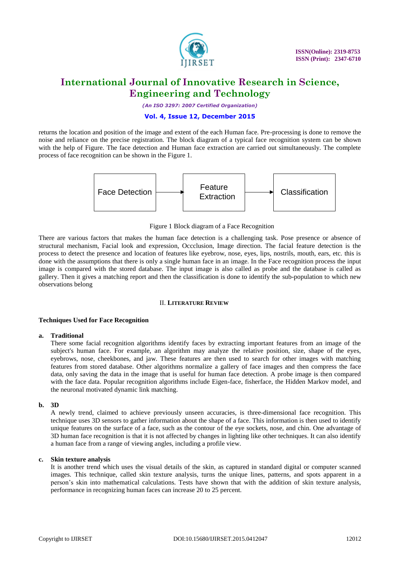

*(An ISO 3297: 2007 Certified Organization)*

#### **Vol. 4, Issue 12, December 2015**

returns the location and position of the image and extent of the each Human face. Pre-processing is done to remove the noise and reliance on the precise registration. The block diagram of a typical face recognition system can be shown with the help of Figure. The face detection and Human face extraction are carried out simultaneously. The complete process of face recognition can be shown in the Figure 1.



#### Figure 1 Block diagram of a Face Recognition

There are various factors that makes the human face detection is a challenging task. Pose presence or absence of structural mechanism, Facial look and expression, Occclusion, Image direction. The facial feature detection is the process to detect the presence and location of features like eyebrow, nose, eyes, lips, nostrils, mouth, ears, etc. this is done with the assumptions that there is only a single human face in an image. In the Face recognition process the input image is compared with the stored database. The input image is also called as probe and the database is called as gallery. Then it gives a matching report and then the classification is done to identify the sub-population to which new observations belong

### II. **LITERATURE REVIEW**

#### **Techniques Used for Face Recognition**

#### **a. Traditional**

There some facial recognition algorithms identify faces by extracting important features from an image of the subject's human face. For example, an algorithm may analyze the relative position, size, shape of the eyes, eyebrows, nose, cheekbones, and jaw. These features are then used to search for other images with matching features from stored database. Other algorithms normalize a gallery of face images and then compress the face data, only saving the data in the image that is useful for human face detection. A probe image is then compared with the face data. Popular recognition algorithms include Eigen-face, fisherface, the Hidden Markov model, and the neuronal motivated dynamic link matching.

#### **b. 3D**

A newly trend, claimed to achieve previously unseen accuracies, is three-dimensional face recognition. This technique uses 3D sensors to gather information about the shape of a face. This information is then used to identify unique features on the surface of a face, such as the contour of the eye sockets, nose, and chin. One advantage of 3D human face recognition is that it is not affected by changes in lighting like other techniques. It can also identify a human face from a range of viewing angles, including a profile view.

#### **c. Skin texture analysis**

It is another trend which uses the visual details of the skin, as captured in standard digital or computer scanned images. This technique, called skin texture analysis, turns the unique lines, patterns, and spots apparent in a person"s skin into mathematical calculations. Tests have shown that with the addition of skin texture analysis, performance in recognizing human faces can increase 20 to 25 percent.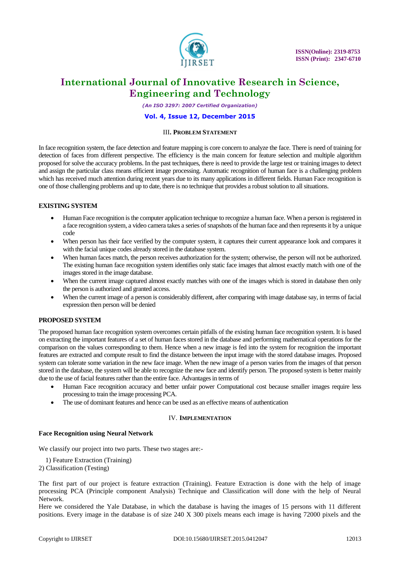

*(An ISO 3297: 2007 Certified Organization)*

#### **Vol. 4, Issue 12, December 2015**

#### III**. PROBLEM STATEMENT**

In face recognition system, the face detection and feature mapping is core concern to analyze the face. There is need of training for detection of faces from different perspective. The efficiency is the main concern for feature selection and multiple algorithm proposed for solve the accuracy problems. In the past techniques, there is need to provide the large test or training images to detect and assign the particular class means efficient image processing. Automatic recognition of human face is a challenging problem which has received much attention during recent years due to its many applications in different fields. Human Face recognition is one of those challenging problems and up to date, there is no technique that provides a robust solution to all situations.

#### **EXISTING SYSTEM**

- Human Face recognition is the computer application technique to recognize a human face. When a person is registered in a face recognition system, a video camera takes a series of snapshots of the human face and then represents it by a unique code
- When person has their face verified by the computer system, it captures their current appearance look and compares it with the facial unique codes already stored in the database system.
- When human faces match, the person receives authorization for the system; otherwise, the person will not be authorized. The existing human face recognition system identifies only static face images that almost exactly match with one of the images stored in the image database.
- When the current image captured almost exactly matches with one of the images which is stored in database then only the person is authorized and granted access.
- When the current image of a person is considerably different, after comparing with image database say, in terms of facial expression then person will be denied

#### **PROPOSED SYSTEM**

The proposed human face recognition system overcomes certain pitfalls of the existing human face recognition system. It is based on extracting the important features of a set of human faces stored in the database and performing mathematical operations for the comparison on the values corresponding to them. Hence when a new image is fed into the system for recognition the important features are extracted and compute result to find the distance between the input image with the stored database images. Proposed system can tolerate some variation in the new face image. When the new image of a person varies from the images of that person stored in the database, the system will be able to recognize the new face and identify person. The proposed system is better mainly due to the use of facial features rather than the entire face. Advantages in terms of

- Human Face recognition accuracy and better unfair power Computational cost because smaller images require less processing to train the image processing PCA.
- The use of dominant features and hence can be used as an effective means of authentication

#### IV. **IMPLEMENTATION**

#### **Face Recognition using Neural Network**

We classify our project into two parts. These two stages are:-

1) Feature Extraction (Training)

2) Classification (Testing)

The first part of our project is feature extraction (Training). Feature Extraction is done with the help of image processing PCA (Principle component Analysis) Technique and Classification will done with the help of Neural Network.

Here we considered the Yale Database, in which the database is having the images of 15 persons with 11 different positions. Every image in the database is of size 240 X 300 pixels means each image is having 72000 pixels and the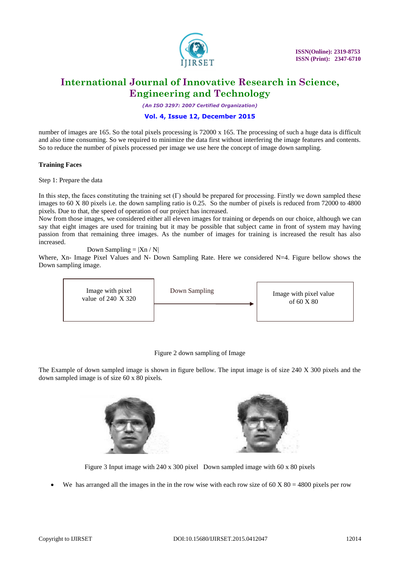

*(An ISO 3297: 2007 Certified Organization)*

#### **Vol. 4, Issue 12, December 2015**

number of images are 165. So the total pixels processing is 72000 x 165. The processing of such a huge data is difficult and also time consuming. So we required to minimize the data first without interfering the image features and contents. So to reduce the number of pixels processed per image we use here the concept of image down sampling.

#### **Training Faces**

Step 1: Prepare the data

In this step, the faces constituting the training set  $(\Gamma)$  should be prepared for processing. Firstly we down sampled these images to 60 X 80 pixels i.e. the down sampling ratio is 0.25. So the number of pixels is reduced from 72000 to 4800 pixels. Due to that, the speed of operation of our project has increased.

Now from those images, we considered either all eleven images for training or depends on our choice, although we can say that eight images are used for training but it may be possible that subject came in front of system may having passion from that remaining three images. As the number of images for training is increased the result has also increased.

Down Sampling  $= |X_n / N|$ 

Where, Xn- Image Pixel Values and N- Down Sampling Rate. Here we considered N=4. Figure bellow shows the Down sampling image.



#### Figure 2 down sampling of Image

The Example of down sampled image is shown in figure bellow. The input image is of size 240 X 300 pixels and the down sampled image is of size 60 x 80 pixels.





Figure 3 Input image with 240 x 300 pixel Down sampled image with 60 x 80 pixels

We has arranged all the images in the in the row wise with each row size of  $60 X 80 = 4800$  pixels per row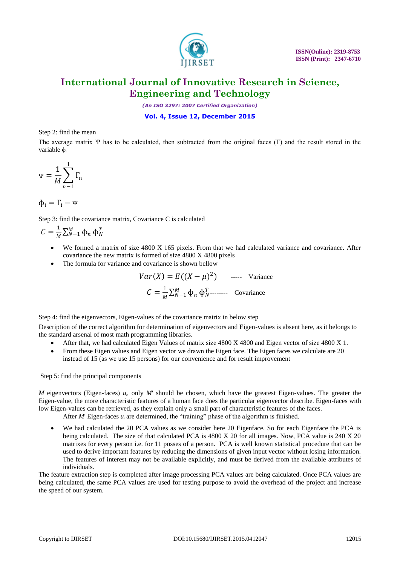

*(An ISO 3297: 2007 Certified Organization)*

**Vol. 4, Issue 12, December 2015**

Step 2: find the mean

The average matrix Ψ has to be calculated, then subtracted from the original faces (Γ) and the result stored in the variable ɸ*<sup>i</sup>*

$$
\Psi = \frac{1}{M} \sum_{n=1}^{1} \Gamma_n
$$

$$
\varphi_i = \Gamma_i - \Psi
$$

Step 3: find the covariance matrix, Covariance C is calculated

$$
C = \frac{1}{M} \sum_{N=1}^{M} \Phi_n \, \Phi_N^T
$$

- We formed a matrix of size 4800 X 165 pixels. From that we had calculated variance and covariance. After covariance the new matrix is formed of size 4800 X 4800 pixels
- The formula for variance and covariance is shown bellow

$$
Var(X) = E((X - \mu)^2) \quad \text{---} \quad \text{Variance}
$$
\n
$$
C = \frac{1}{M} \sum_{N=1}^{M} \Phi_n \Phi_N^T \quad \text{---} \quad \text{Covariance}
$$

Step 4: find the eigenvectors, Eigen-values of the covariance matrix in below step

Description of the correct algorithm for determination of eigenvectors and Eigen-values is absent here, as it belongs to the standard arsenal of most math programming libraries.

- After that, we had calculated Eigen Values of matrix size 4800 X 4800 and Eigen vector of size 4800 X 1.
- From these Eigen values and Eigen vector we drawn the Eigen face. The Eigen faces we calculate are 20 instead of 15 (as we use 15 persons) for our convenience and for result improvement

Step 5: find the principal components

*M* eigenvectors (Eigen-faces) *ui*, only *M*' should be chosen, which have the greatest Eigen-values. The greater the Eigen-value, the more characteristic features of a human face does the particular eigenvector describe. Eigen-faces with low Eigen-values can be retrieved, as they explain only a small part of characteristic features of the faces.

After *M*' Eigen-faces  $u_i$  are determined, the "training" phase of the algorithm is finished.

 We had calculated the 20 PCA values as we consider here 20 Eigenface. So for each Eigenface the PCA is being calculated. The size of that calculated PCA is 4800 X 20 for all images. Now, PCA value is 240 X 20 matrixes for every person i.e. for 11 posses of a person. PCA is well known statistical procedure that can be used to derive important features by reducing the dimensions of given input vector without losing information. The features of interest may not be available explicitly, and must be derived from the available attributes of individuals.

The feature extraction step is completed after image processing PCA values are being calculated. Once PCA values are being calculated, the same PCA values are used for testing purpose to avoid the overhead of the project and increase the speed of our system.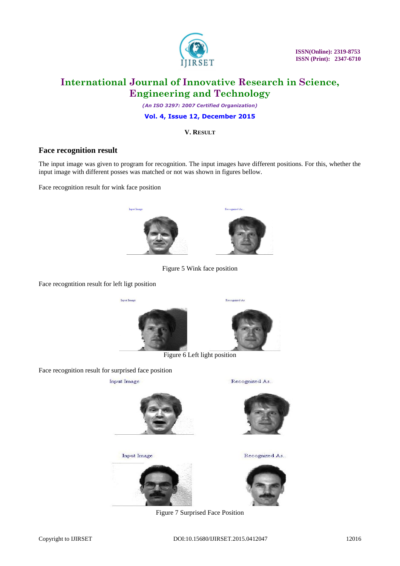

 **ISSN(Online): 2319-8753 ISSN (Print): 2347-6710** 

## **International Journal of Innovative Research in Science, Engineering and Technology**

*(An ISO 3297: 2007 Certified Organization)*

**Vol. 4, Issue 12, December 2015**

**V. RESULT**

### **Face recognition result**

The input image was given to program for recognition. The input images have different positions. For this, whether the input image with different posses was matched or not was shown in figures bellow.

Face recognition result for wink face position





Figure 5 Wink face position

Face recogntition result for left ligt position





Recognized As

Figure 6 Left light position

Face recognition result for surprised face position

**Input Image** 

Recognized As.



**Input Image** 





Recognized As..

Figure 7 Surprised Face Position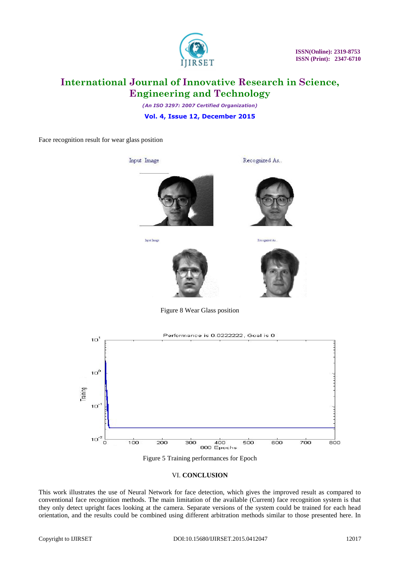

 **ISSN(Online): 2319-8753 ISSN (Print): 2347-6710** 

# **International Journal of Innovative Research in Science, Engineering and Technology**

*(An ISO 3297: 2007 Certified Organization)*

**Vol. 4, Issue 12, December 2015**

Face recognition result for wear glass position



Input Image



Recognized As...

Recognized As.





Figure 8 Wear Glass position





#### VI. **CONCLUSION**

This work illustrates the use of Neural Network for face detection, which gives the improved result as compared to conventional face recognition methods. The main limitation of the available (Current) face recognition system is that they only detect upright faces looking at the camera. Separate versions of the system could be trained for each head orientation, and the results could be combined using different arbitration methods similar to those presented here. In